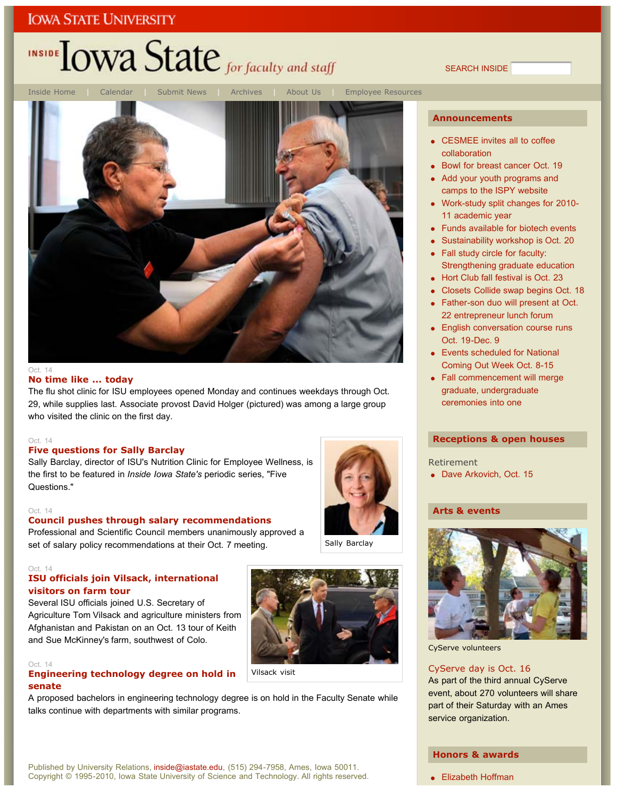## INSIDE LOWA State for faculty and staff

SEARCH INSIDE



#### **No time like ... today**

The flu shot clinic for ISU employees opened Monday and continues weekdays through Oct. 29, while supplies last. Associate provost David Holger (pictured) was among a large group who visited the clinic on the first day.

#### Oct. 14

#### **Five questions for Sally Barclay**

Sally Barclay, director of ISU's Nutrition Clinic for Employee Wellness, is the first to be featured in *Inside Iowa State's* periodic series, "Five Questions."

#### Oct. 14

#### **Council pushes through salary recommendations**

Professional and Scientific Council members unanimously approved a set of salary policy recommendations at their Oct. 7 meeting.

#### Oct. 14

#### **ISU officials join Vilsack, international visitors on farm tour**

Several ISU officials joined U.S. Secretary of Agriculture Tom Vilsack and agriculture ministers from Afghanistan and Pakistan on an Oct. 13 tour of Keith and Sue McKinney's farm, southwest of Colo.

#### Oct. 14

#### **Engineering technology degree on hold in senate**

A proposed bachelors in engineering technology degree is on hold in the Faculty Senate while talks continue with departments with similar programs.

Sally Barclay



#### **Announcements**

- CESMEE invites all to coffee collaboration
- Bowl for breast cancer Oct. 19
- Add your youth programs and camps to the ISPY website
- Work-study split changes for 2010- 11 academic year
- Funds available for biotech events
- Sustainability workshop is Oct. 20
- Fall study circle for faculty: Strengthening graduate education
- Hort Club fall festival is Oct. 23
- Closets Collide swap begins Oct. 18
- Father-son duo will present at Oct. 22 entrepreneur lunch forum
- English conversation course runs Oct. 19-Dec. 9
- Events scheduled for National Coming Out Week Oct. 8-15
- Fall commencement will merge graduate, undergraduate ceremonies into one

#### **Receptions & open houses**

- Retirement
- Dave Arkovich, Oct. 15

#### **Arts & events**



CyServe volunteers

#### CyServe day is Oct. 16

As part of the third annual CyServe event, about 270 volunteers will share part of their Saturday with an Ames service organization.

#### **Honors & awards**

#### Published by University Relations, inside@iastate.edu, (515) 294-7958, Ames, Iowa 50011. Copyright © 1995-2010, Iowa State University of Science and Technology. All rights reserved.

• Elizabeth Hoffman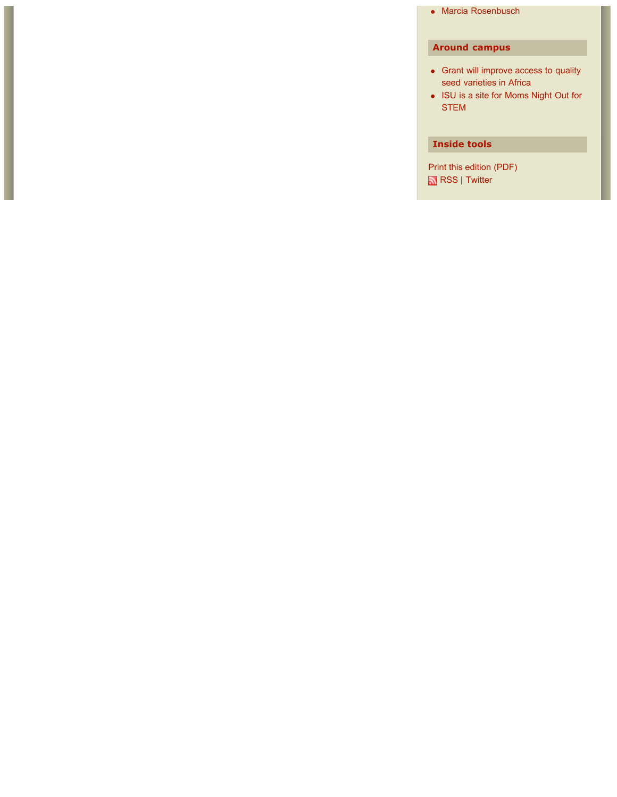Marcia Rosenbusch

### **Around campus**

- Grant will improve access to quality seed varieties in Africa
- ISU is a site for Moms Night Out for STEM

#### **Inside tools**

Print this edition (PDF) RSS | Twitter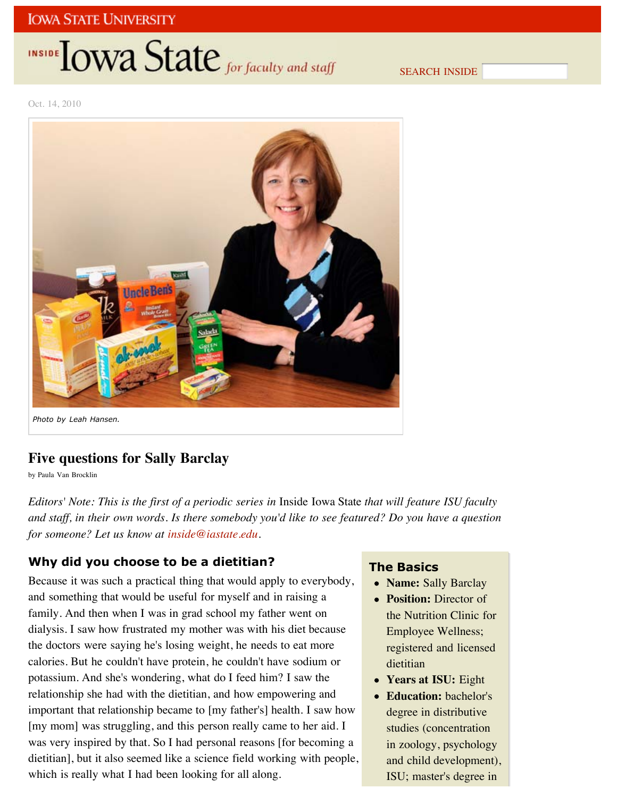## INSIDE **IOWA State** for faculty and staff

SEARCH INSIDE

Oct. 14, 2010



## **Five questions for Sally Barclay**

by Paula Van Brocklin

*Editors' Note: This is the first of a periodic series in* Inside Iowa State *that will feature ISU faculty and staff, in their own words. Is there somebody you'd like to see featured? Do you have a question for someone? Let us know at inside@iastate.edu.*

### **Why did you choose to be a dietitian?**

Because it was such a practical thing that would apply to everybody, and something that would be useful for myself and in raising a family. And then when I was in grad school my father went on dialysis. I saw how frustrated my mother was with his diet because the doctors were saying he's losing weight, he needs to eat more calories. But he couldn't have protein, he couldn't have sodium or potassium. And she's wondering, what do I feed him? I saw the relationship she had with the dietitian, and how empowering and important that relationship became to [my father's] health. I saw how [my mom] was struggling, and this person really came to her aid. I was very inspired by that. So I had personal reasons [for becoming a dietitian], but it also seemed like a science field working with people, which is really what I had been looking for all along.

### **The Basics**

- **Name:** Sally Barclay
- **Position:** Director of the Nutrition Clinic for Employee Wellness; registered and licensed dietitian
- **Years at ISU:** Eight
- **Education:** bachelor's degree in distributive studies (concentration in zoology, psychology and child development), ISU; master's degree in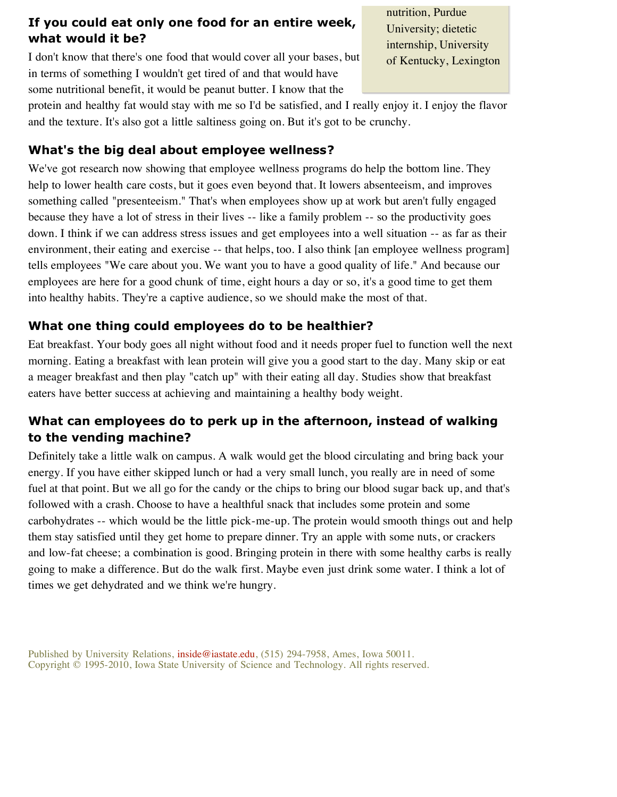## **If you could eat only one food for an entire week, what would it be?**

I don't know that there's one food that would cover all your bases, but in terms of something I wouldn't get tired of and that would have some nutritional benefit, it would be peanut butter. I know that the

nutrition, Purdue University; dietetic internship, University of Kentucky, Lexington

protein and healthy fat would stay with me so I'd be satisfied, and I really enjoy it. I enjoy the flavor and the texture. It's also got a little saltiness going on. But it's got to be crunchy.

### **What's the big deal about employee wellness?**

We've got research now showing that employee wellness programs do help the bottom line. They help to lower health care costs, but it goes even beyond that. It lowers absenteeism, and improves something called "presenteeism." That's when employees show up at work but aren't fully engaged because they have a lot of stress in their lives -- like a family problem -- so the productivity goes down. I think if we can address stress issues and get employees into a well situation -- as far as their environment, their eating and exercise -- that helps, too. I also think [an employee wellness program] tells employees "We care about you. We want you to have a good quality of life." And because our employees are here for a good chunk of time, eight hours a day or so, it's a good time to get them into healthy habits. They're a captive audience, so we should make the most of that.

## **What one thing could employees do to be healthier?**

Eat breakfast. Your body goes all night without food and it needs proper fuel to function well the next morning. Eating a breakfast with lean protein will give you a good start to the day. Many skip or eat a meager breakfast and then play "catch up" with their eating all day. Studies show that breakfast eaters have better success at achieving and maintaining a healthy body weight.

## **What can employees do to perk up in the afternoon, instead of walking to the vending machine?**

Definitely take a little walk on campus. A walk would get the blood circulating and bring back your energy. If you have either skipped lunch or had a very small lunch, you really are in need of some fuel at that point. But we all go for the candy or the chips to bring our blood sugar back up, and that's followed with a crash. Choose to have a healthful snack that includes some protein and some carbohydrates -- which would be the little pick-me-up. The protein would smooth things out and help them stay satisfied until they get home to prepare dinner. Try an apple with some nuts, or crackers and low-fat cheese; a combination is good. Bringing protein in there with some healthy carbs is really going to make a difference. But do the walk first. Maybe even just drink some water. I think a lot of times we get dehydrated and we think we're hungry.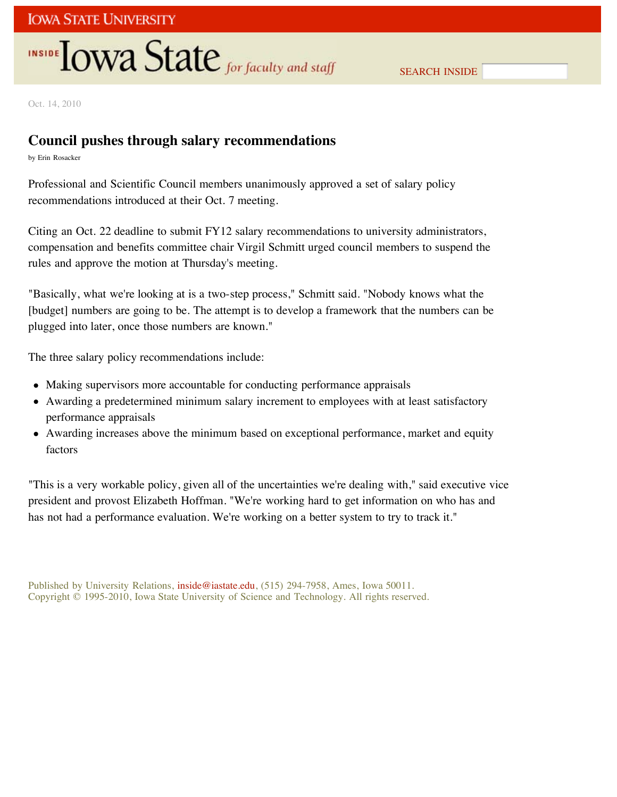## INSIDE **IOWA State** for faculty and staff

Oct. 14, 2010

## **Council pushes through salary recommendations**

by Erin Rosacker

Professional and Scientific Council members unanimously approved a set of salary policy recommendations introduced at their Oct. 7 meeting.

Citing an Oct. 22 deadline to submit FY12 salary recommendations to university administrators, compensation and benefits committee chair Virgil Schmitt urged council members to suspend the rules and approve the motion at Thursday's meeting.

"Basically, what we're looking at is a two-step process," Schmitt said. "Nobody knows what the [budget] numbers are going to be. The attempt is to develop a framework that the numbers can be plugged into later, once those numbers are known."

The three salary policy recommendations include:

- Making supervisors more accountable for conducting performance appraisals
- Awarding a predetermined minimum salary increment to employees with at least satisfactory performance appraisals
- Awarding increases above the minimum based on exceptional performance, market and equity factors

"This is a very workable policy, given all of the uncertainties we're dealing with," said executive vice president and provost Elizabeth Hoffman. "We're working hard to get information on who has and has not had a performance evaluation. We're working on a better system to try to track it."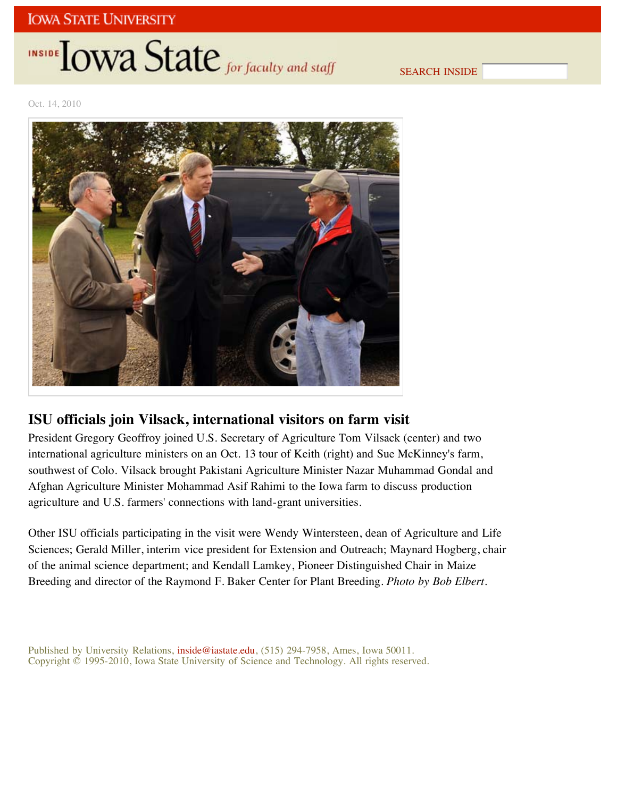# INSIDE LOWA State for faculty and staff

SEARCH INSIDE

Oct. 14, 2010



## **ISU officials join Vilsack, international visitors on farm visit**

President Gregory Geoffroy joined U.S. Secretary of Agriculture Tom Vilsack (center) and two international agriculture ministers on an Oct. 13 tour of Keith (right) and Sue McKinney's farm, southwest of Colo. Vilsack brought Pakistani Agriculture Minister Nazar Muhammad Gondal and Afghan Agriculture Minister Mohammad Asif Rahimi to the Iowa farm to discuss production agriculture and U.S. farmers' connections with land-grant universities.

Other ISU officials participating in the visit were Wendy Wintersteen, dean of Agriculture and Life Sciences; Gerald Miller, interim vice president for Extension and Outreach; Maynard Hogberg, chair of the animal science department; and Kendall Lamkey, Pioneer Distinguished Chair in Maize Breeding and director of the Raymond F. Baker Center for Plant Breeding. *Photo by Bob Elbert.*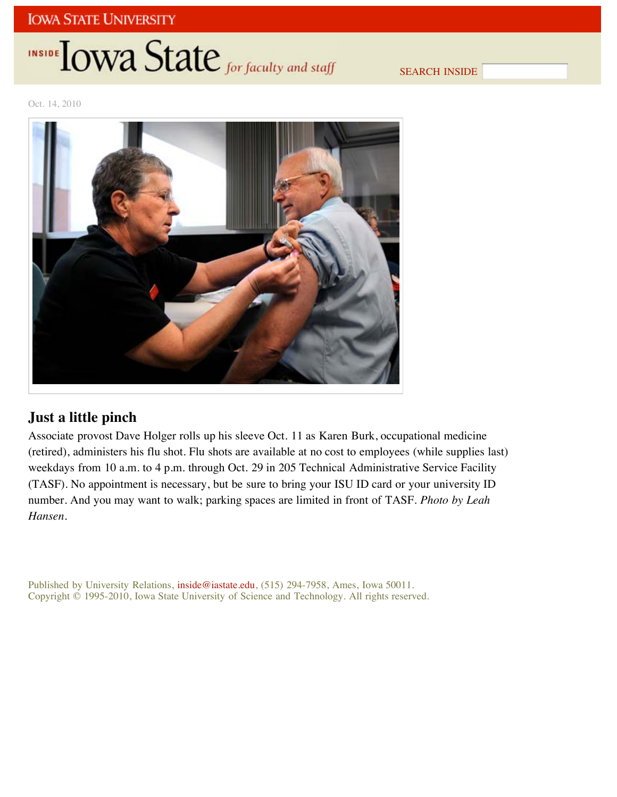## INSIDE **IOWA State** for faculty and staff

SEARCH INSIDE

Oct. 14, 2010



## **Just a little pinch**

Associate provost Dave Holger rolls up his sleeve Oct. 11 as Karen Burk, occupational medicine (retired), administers his flu shot. Flu shots are available at no cost to employees (while supplies last) weekdays from 10 a.m. to 4 p.m. through Oct. 29 in 205 Technical Administrative Service Facility (TASF). No appointment is necessary, but be sure to bring your ISU ID card or your university ID number. And you may want to walk; parking spaces are limited in front of TASF. *Photo by Leah Hansen.*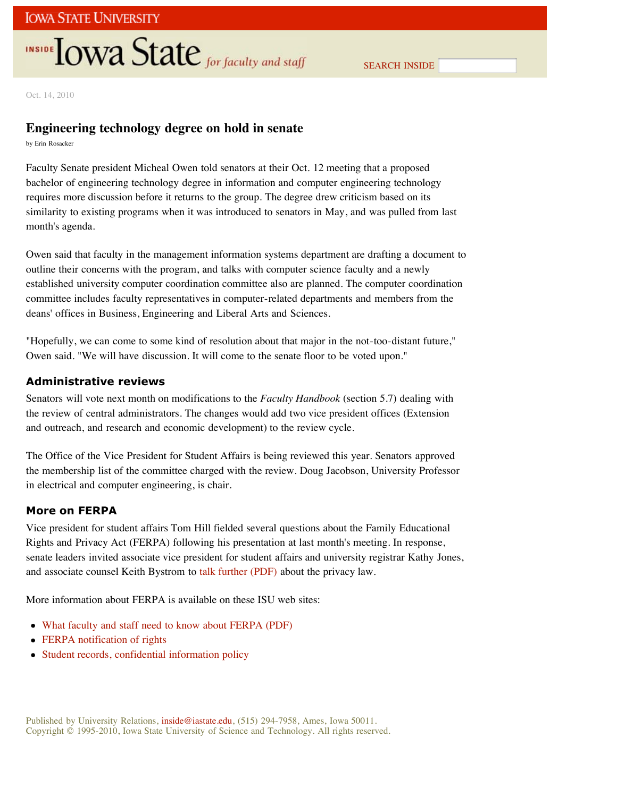## **INSIDE TOWA State** for faculty and staff

SEARCH INSIDE

Oct. 14, 2010

### **Engineering technology degree on hold in senate**

by Erin Rosacker

Faculty Senate president Micheal Owen told senators at their Oct. 12 meeting that a proposed bachelor of engineering technology degree in information and computer engineering technology requires more discussion before it returns to the group. The degree drew criticism based on its similarity to existing programs when it was introduced to senators in May, and was pulled from last month's agenda.

Owen said that faculty in the management information systems department are drafting a document to outline their concerns with the program, and talks with computer science faculty and a newly established university computer coordination committee also are planned. The computer coordination committee includes faculty representatives in computer-related departments and members from the deans' offices in Business, Engineering and Liberal Arts and Sciences.

"Hopefully, we can come to some kind of resolution about that major in the not-too-distant future," Owen said. "We will have discussion. It will come to the senate floor to be voted upon."

### **Administrative reviews**

Senators will vote next month on modifications to the *Faculty Handbook* (section 5.7) dealing with the review of central administrators. The changes would add two vice president offices (Extension and outreach, and research and economic development) to the review cycle.

The Office of the Vice President for Student Affairs is being reviewed this year. Senators approved the membership list of the committee charged with the review. Doug Jacobson, University Professor in electrical and computer engineering, is chair.

#### **More on FERPA**

Vice president for student affairs Tom Hill fielded several questions about the Family Educational Rights and Privacy Act (FERPA) following his presentation at last month's meeting. In response, senate leaders invited associate vice president for student affairs and university registrar Kathy Jones, and associate counsel Keith Bystrom to talk further (PDF) about the privacy law.

More information about FERPA is available on these ISU web sites:

- What faculty and staff need to know about FERPA (PDF)
- FERPA notification of rights
- Student records, confidential information policy